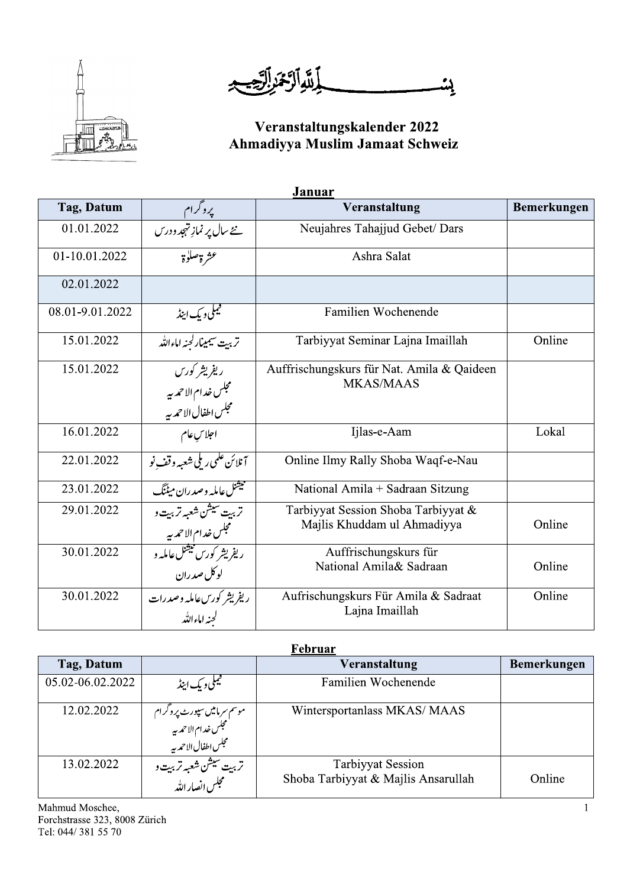

**[شَوَالَّ مَمَرِ الرَّحْيِ** ڸؽ

# Veranstaltungskalender 2022<br>Ahmadiyya Muslim Jamaat Schweiz

| Januar          |                                                                                              |                                                                    |             |  |
|-----------------|----------------------------------------------------------------------------------------------|--------------------------------------------------------------------|-------------|--|
| Tag, Datum      |                                                                                              | Veranstaltung                                                      | Bemerkungen |  |
| 01.01.2022      | پروگرام<br><u>من</u> ح سال پر نماز تہجد ودرس                                                 | Neujahres Tahajjud Gebet/ Dars                                     |             |  |
| 01-10.01.2022   | عشرة صلوة                                                                                    | Ashra Salat                                                        |             |  |
| 02.01.2022      |                                                                                              |                                                                    |             |  |
| 08.01-9.01.2022 | فيملى ويك اينڈ                                                                               | Familien Wochenende                                                |             |  |
| 15.01.2022      | تربيت سيمينارلحنه اماءالله                                                                   | Tarbiyyat Seminar Lajna Imaillah                                   | Online      |  |
| 15.01.2022      | ر يفريشر کورس<br>مجلس خدام الاحمد به<br>مجلس خدام الاحمد به<br>مجلس اطفا <u>ل الا</u> حمد به | Auffrischungskurs für Nat. Amila & Qaideen<br><b>MKAS/MAAS</b>     |             |  |
| 16.01.2022      | ۔<br>اجلاس عام                                                                               | Ijlas-e-Aam                                                        | Lokal       |  |
| 22.01.2022      | <u>آنلائن علمی ریلی شعبه وقف نو</u>                                                          | Online Ilmy Rally Shoba Waqf-e-Nau                                 |             |  |
| 23.01.2022      | تبیشنل عامله وصدران میٹنگ                                                                    | National Amila + Sadraan Sitzung                                   |             |  |
| 29.01.2022      | تربي <del>ت سيش ش</del> عبه تربيت و<br>مجلس خدام الاحمه بير                                  | Tarbiyyat Session Shoba Tarbiyyat &<br>Majlis Khuddam ul Ahmadiyya | Online      |  |
| 30.01.2022      | <u>ریفریشر کورس نیشنل عامله و</u><br>لوکل صدران                                              | Auffrischungskurs für<br>National Amila& Sadraan                   | Online      |  |
| 30.01.2022      | ر یفریشر کورس عامله وصدرات<br>لحنه اماءالله                                                  | Aufrischungskurs Für Amila & Sadraat<br>Lajna Imaillah             | Online      |  |

| Februar          |                                                                                  |                                                                 |                    |  |
|------------------|----------------------------------------------------------------------------------|-----------------------------------------------------------------|--------------------|--|
| Tag, Datum       |                                                                                  | Veranstaltung                                                   | <b>Bemerkungen</b> |  |
| 05.02-06.02.2022 | ليملى و يك اينڈ                                                                  | Familien Wochenende                                             |                    |  |
| 12.02.2022       | موسم سرمامیں سپورٹ پروگرام<br>مجلس خدام الاحمہ بہ<br>مجلس اطفال الاحمہ بہ        | Wintersportanlass MKAS/MAAS                                     |                    |  |
| 13.02.2022       | تربي <del>ت سيشن ش</del> عبه تربي <b>ت و</b><br>  مستعجلس <sub>ا</sub> نصار الله | <b>Tarbiyyat Session</b><br>Shoba Tarbiyyat & Majlis Ansarullah | Online             |  |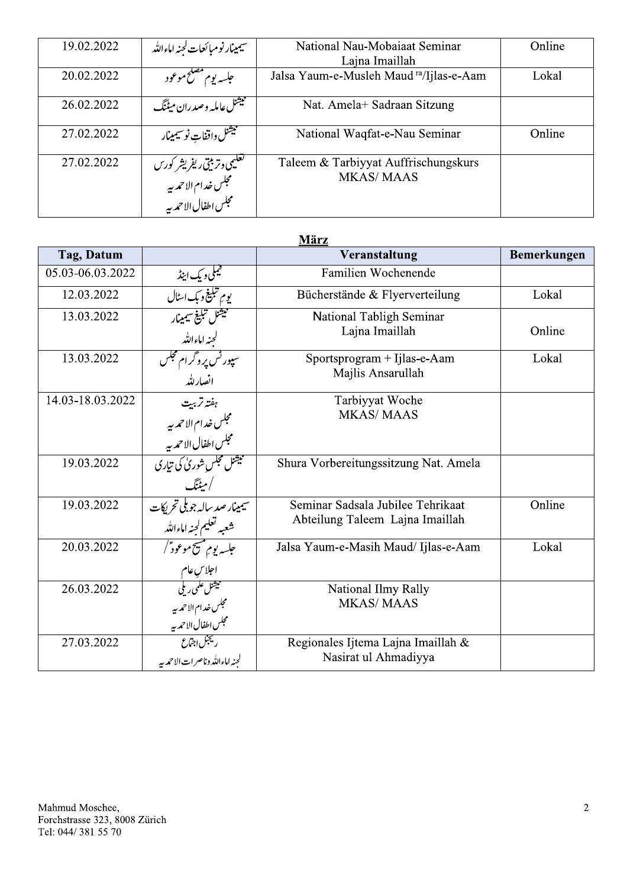| 19.02.2022 | سيمينار نومبائعات لحنه اماءالله                                                                            | National Nau-Mobaiaat Seminar<br>Lajna Imaillah          | Online |
|------------|------------------------------------------------------------------------------------------------------------|----------------------------------------------------------|--------|
| 20.02.2022 | جلسه يوم مصلح موعود                                                                                        | Jalsa Yaum-e-Musleh Maud ra/Ijlas-e-Aam                  | Lokal  |
| 26.02.2022 | فبيثنل عامله وصدران ميٹنگ                                                                                  | Nat. Amela+ Sadraan Sitzung                              |        |
| 27.02.2022 | فليشنل واقفات نوسيمينار                                                                                    | National Waqfat-e-Nau Seminar                            | Online |
| 27.02.2022 | <del>تعليمى وتربيتى ريفريشر كورس</del><br>مجلس خدام الاحم <i>دي</i> ه<br>المستعجلس اطفال الاحم <i>دي</i> ه | Taleem & Tarbiyyat Auffrischungskurs<br><b>MKAS/MAAS</b> |        |

| März             |                                                                                        |                                                                      |             |  |
|------------------|----------------------------------------------------------------------------------------|----------------------------------------------------------------------|-------------|--|
| Tag, Datum       |                                                                                        | Veranstaltung                                                        | Bemerkungen |  |
| 05.03-06.03.2022 | فيملىويك اينڈ                                                                          | Familien Wochenende                                                  |             |  |
| 12.03.2022       | يوم تبلي <del>غ</del> وبك اسٹال                                                        | Bücherstände & Flyerverteilung                                       | Lokal       |  |
| 13.03.2022       | فيشنل تبليغ سيمينار<br>لجنه اماءالله<br>سپور <sup>ش</sup> پروگرام مجلس                 | National Tabligh Seminar<br>Lajna Imaillah                           | Online      |  |
| 13.03.2022       | انصارللد                                                                               | Sportsprogram + Ijlas-e-Aam<br>Majlis Ansarullah                     | Lokal       |  |
| 14.03-18.03.2022 | ہفتہ تربیت<br>مجلس خدام الاحمد بہ<br>مجلس اطفال الاحمد بہ<br>میتنل مجلس شوریٰ کی تیاری | Tarbiyyat Woche<br><b>MKAS/MAAS</b>                                  |             |  |
|                  |                                                                                        |                                                                      |             |  |
| 19.03.2022       | /میٹنگ                                                                                 | Shura Vorbereitungssitzung Nat. Amela                                |             |  |
| 19.03.2022       | سیمینار صد ساله جو ب <mark>لی تحریکات</mark><br>شیمینار صد ساله جنه اماءالله           | Seminar Sadsala Jubilee Tehrikaat<br>Abteilung Taleem Lajna Imaillah | Online      |  |
| 20.03.2022       | جلسه يوم مسيح موعود ٌ /                                                                | Jalsa Yaum-e-Masih Maud/ Ijlas-e-Aam                                 | Lokal       |  |
| 26.03.2022       | احلاسِ عام<br>میشنل علمی ریلی<br>مجلس خدام الاحمہ بیہ<br>مجلس اطفال الاحمہ بیہ         | National Ilmy Rally<br><b>MKAS/MAAS</b>                              |             |  |
| 27.03.2022       | ريجن اجتماع<br>لحنه اماءالله وناصرات الاحمدبيه                                         | Regionales Ijtema Lajna Imaillah &<br>Nasirat ul Ahmadiyya           |             |  |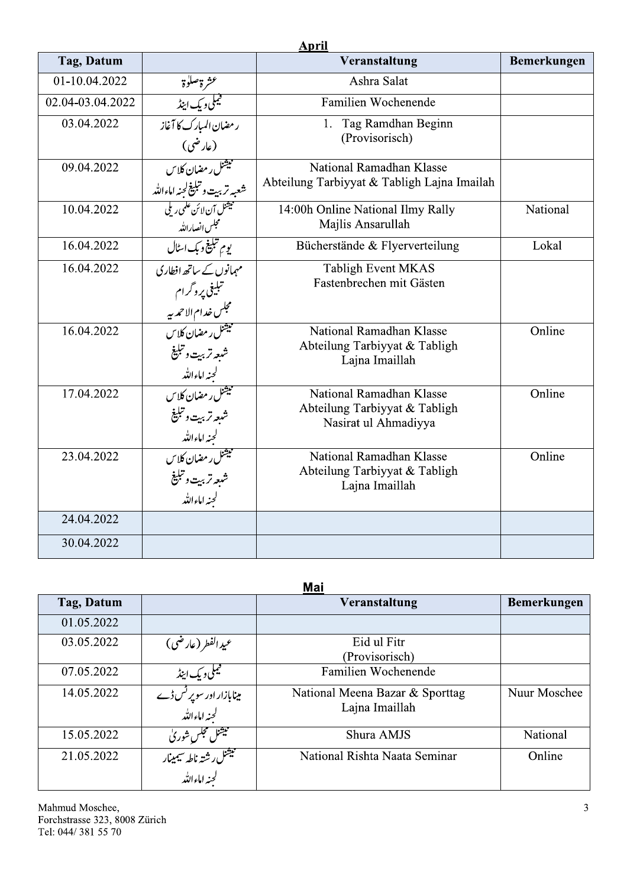|                  |                                                                                                                 | <b>April</b>                                          |             |
|------------------|-----------------------------------------------------------------------------------------------------------------|-------------------------------------------------------|-------------|
| Tag, Datum       |                                                                                                                 | Veranstaltung                                         | Bemerkungen |
| 01-10.04.2022    | عشرة صلوة                                                                                                       | Ashra Salat                                           |             |
| 02.04-03.04.2022 | <u>قیملی و یک اینڈ</u>                                                                                          | Familien Wochenende                                   |             |
| 03.04.2022       | رمضان المبارك كا آغاز                                                                                           | 1. Tag Ramdhan Beginn                                 |             |
|                  | (عارضی)                                                                                                         | (Provisorisch)                                        |             |
| 09.04.2022       | میشنل ر مضان کلاس                                                                                               | National Ramadhan Klasse                              |             |
|                  | شعبه تربيت وتبليغ لجنه اماءالله                                                                                 | Abteilung Tarbiyyat & Tabligh Lajna Imailah           |             |
| 10.04.2022       | <del>میشنل آن لائن علمی ریلی</del>                                                                              | 14:00h Online National Ilmy Rally                     | National    |
|                  | محجلس انصارالله                                                                                                 | Majlis Ansarullah                                     |             |
| 16.04.2022       | يوم تبلي <del>غ</del> و بک اسٹال                                                                                | Bücherstände & Flyerverteilung                        | Lokal       |
| 16.04.2022       | مہمانوں <i>کے ساتھ افطار</i> ی                                                                                  | Tabligh Event MKAS                                    |             |
|                  |                                                                                                                 | Fastenbrechen mit Gästen                              |             |
|                  | تبلیغی پروگرام<br>مجلس خدام الاحمد بیه<br>میتمنل رمضان کلاس                                                     |                                                       |             |
| 16.04.2022       |                                                                                                                 | National Ramadhan Klasse                              | Online      |
|                  | شبعه تربيت وتبليغ                                                                                               | Abteilung Tarbiyyat & Tabligh<br>Lajna Imaillah       |             |
|                  | كجنه اماءالله<br>میشنل ر مضان کلاس                                                                              |                                                       |             |
| 17.04.2022       |                                                                                                                 | National Ramadhan Klasse                              | Online      |
|                  |                                                                                                                 | Abteilung Tarbiyyat & Tabligh<br>Nasirat ul Ahmadiyya |             |
|                  |                                                                                                                 |                                                       |             |
| 23.04.2022       |                                                                                                                 | National Ramadhan Klasse                              | Online      |
|                  |                                                                                                                 | Abteilung Tarbiyyat & Tabligh<br>Lajna Imaillah       |             |
|                  | شبعه تربيت وتبليغ<br>لجنه الاءالله<br>لجنه الاءالله<br>منبعه تربيت وتبليغ<br>شبعه تربيت وتبليغ<br>لجنه اماءالله |                                                       |             |
| 24.04.2022       |                                                                                                                 |                                                       |             |
| 30.04.2022       |                                                                                                                 |                                                       |             |
|                  |                                                                                                                 |                                                       |             |

## Mai

|                                                      | Veranstaltung                                                                    | Bemerkungen  |
|------------------------------------------------------|----------------------------------------------------------------------------------|--------------|
|                                                      |                                                                                  |              |
| عيدالفطر (عارضي)                                     | Eid ul Fitr<br>(Provisorisch)                                                    |              |
|                                                      | Familien Wochenende                                                              |              |
| مینابازار اور سوپر <sup>ٹس</sup> ڈے<br>لجنہ اماءاللہ | National Meena Bazar & Sporttag<br>Lajna Imaillah                                | Nuur Moschee |
|                                                      | Shura AMJS                                                                       | National     |
|                                                      | National Rishta Naata Seminar                                                    | Online       |
|                                                      | میکمی و یک اینڈ<br>میشنل مجلسِ شوریٰ<br>میشنل رشتہ ناطہ سیمینار<br>لجنہ اماءاللہ | Mai          |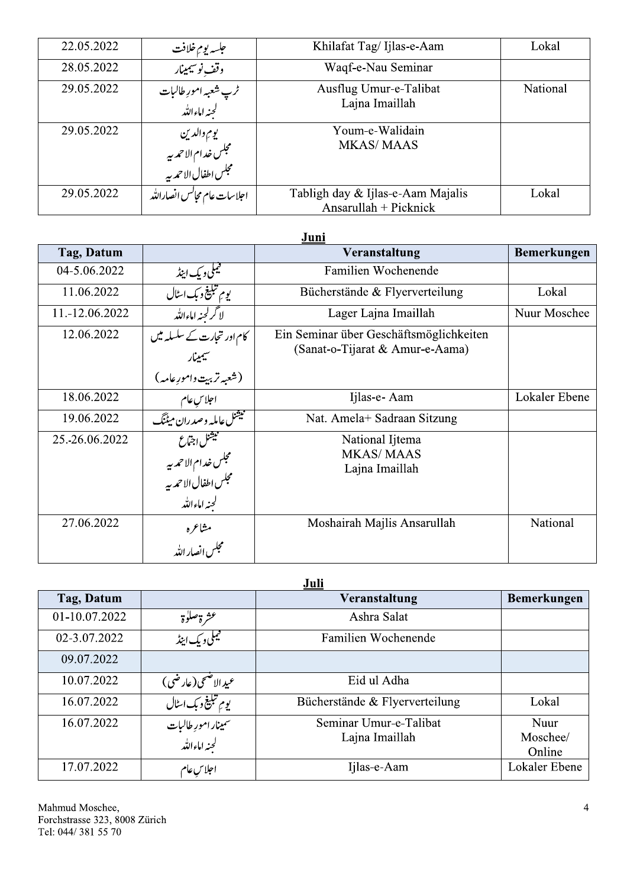| 22.05.2022 | جلسه يوم خلافت                                            | Khilafat Tag/Ijlas-e-Aam                                   | Lokal    |
|------------|-----------------------------------------------------------|------------------------------------------------------------|----------|
| 28.05.2022 | وقف نوسيمينار                                             | Waqf-e-Nau Seminar                                         |          |
| 29.05.2022 | ٹرپ شعبہ امورِ طالبات<br>لجنہ اماءاللہ                    | Ausflug Umur-e-Talibat<br>Lajna Imaillah                   | National |
| 29.05.2022 | يوم والدين<br>مجلس خدام الاحمد به<br>مجلس اطفال الاحمد به | Youm-e-Walidain<br><b>MKAS/MAAS</b>                        |          |
| 29.05.2022 | اجلاسات عام مجانس انصارالله                               | Tabligh day & Ijlas-e-Aam Majalis<br>Ansarullah + Picknick | Lokal    |

#### Juni

| Tag, Datum     |                                                                                                         | Veranstaltung                                                              | <b>Bemerkungen</b> |
|----------------|---------------------------------------------------------------------------------------------------------|----------------------------------------------------------------------------|--------------------|
| 04-5.06.2022   | فيملى ويك اينڈ                                                                                          | Familien Wochenende                                                        |                    |
| 11.06.2022     | يوم تبلي <del>غ</del> وبك اسٹال                                                                         | Bücherstände & Flyerverteilung                                             | Lokal              |
| 11.-12.06.2022 | لاگرلجنه اماءالله                                                                                       | Lager Lajna Imaillah                                                       | Nuur Moschee       |
| 12.06.2022     | کام اور تجارت کے سلسلہ میں<br>سيمينار                                                                   | Ein Seminar über Geschäftsmöglichkeiten<br>(Sanat-o-Tijarat & Amur-e-Aama) |                    |
|                | ه<br>(شعبه تربي <u>ت</u> وامورِعامه)                                                                    |                                                                            |                    |
| 18.06.2022     | احلاسِ عام<br>نبیشنل عاملہ و صدران میٹنگ                                                                | Ijlas-e- Aam                                                               | Lokaler Ebene      |
| 19.06.2022     |                                                                                                         | Nat. Amela+ Sadraan Sitzung                                                |                    |
| 25.-26.06.2022 | ستميشنل <sub>ا</sub> جت <sub>اع</sub><br>مجلس خدام الاحمر بيه<br>مجلس اطفال الاحمر بيه<br>لجنه اماءالله | National Ijtema<br><b>MKAS/MAAS</b><br>Lajna Imaillah                      |                    |
| 27.06.2022     | مشاعره<br>مجلس انصار الله                                                                               | Moshairah Majlis Ansarullah                                                | National           |

### Juli

| Tag, Datum    |                                                    | Veranstaltung                  | <b>Bemerkungen</b> |
|---------------|----------------------------------------------------|--------------------------------|--------------------|
| 01-10.07.2022 | عشرة صلوة                                          | Ashra Salat                    |                    |
| 02-3.07.2022  | ليملى ويك اينڈ                                     | Familien Wochenende            |                    |
| 09.07.2022    |                                                    |                                |                    |
| 10.07.2022    | عيد الاصحي(عارضي)                                  | Eid ul Adha                    |                    |
| 16.07.2022    | <u>یوم تبلیغ د بک اسٹال</u>                        | Bücherstände & Flyerverteilung | Lokal              |
| 16.07.2022    | سم <mark>ینار امورِ طالبات</mark><br>لجنه اماءالله | Seminar Umur-e-Talibat         | Nuur               |
|               |                                                    | Lajna Imaillah                 | Moschee/           |
|               |                                                    |                                | Online             |
| 17.07.2022    | اجلاس عام                                          | Ijlas-e-Aam                    | Lokaler Ebene      |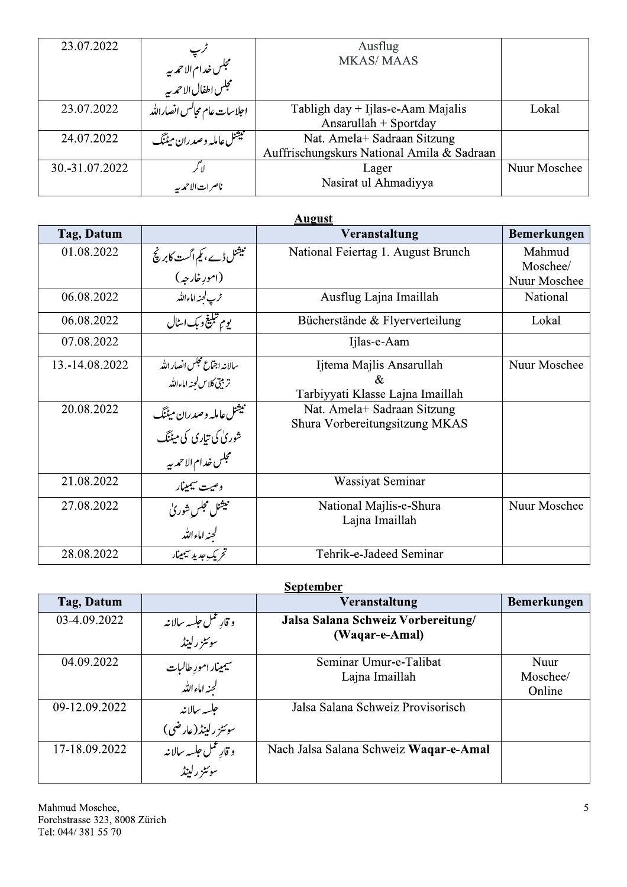| 23.07.2022     |                                                    | Ausflug                                    |              |
|----------------|----------------------------------------------------|--------------------------------------------|--------------|
|                | ترپ<br>مجلس خدام الاحمہ بہ<br>مجلس اطفال الاحمہ بہ | <b>MKAS/MAAS</b>                           |              |
|                |                                                    |                                            |              |
| 23.07.2022     | احلاسات عام مجالس انصارالله                        | Tabligh day $+$ Ijlas-e-Aam Majalis        | Lokal        |
|                |                                                    | Ansarullah $+$ Sportday                    |              |
| 24.07.2022     | فللمجيشنل عامله وصدران ميٹنگ                       | Nat. Amela+ Sadraan Sitzung                |              |
|                |                                                    | Auffrischungskurs National Amila & Sadraan |              |
| 30.-31.07.2022 |                                                    | Lager                                      | Nuur Moschee |
|                | ناصرات الأحمدبير                                   | Nasirat ul Ahmadiyya                       |              |

| <b>August</b>  |                                             |                                           |              |  |
|----------------|---------------------------------------------|-------------------------------------------|--------------|--|
| Tag, Datum     |                                             | Veranstaltung                             | Bemerkungen  |  |
| 01.08.2022     | میشل ڈے، کیم اگست کابرینج<br>(امورِ خارجہ)  | National Feiertag 1. August Brunch        | Mahmud       |  |
|                |                                             |                                           | Moschee/     |  |
|                |                                             |                                           | Nuur Moschee |  |
| 06.08.2022     | -<br>ترپ لجنه اماءالله                      | Ausflug Lajna Imaillah                    | National     |  |
| 06.08.2022     | يوم تبليغ وبك اسٹال                         | Bücherstände & Flyerverteilung            | Lokal        |  |
| 07.08.2022     |                                             | Ijlas-e-Aam                               |              |  |
| 13.-14.08.2022 | سالانه اجتماع تجلس انصار الله               | Ijtema Majlis Ansarullah                  | Nuur Moschee |  |
|                | تربيتي كلاس لحنه اماءالله                   | &                                         |              |  |
|                |                                             | Tarbiyyati Klasse Lajna Imaillah          |              |  |
| 20.08.2022     | فبيثنل عامله وصدران ميٹنگ                   | Nat. Amela+ Sadraan Sitzung               |              |  |
|                | شوریٰ کی تیاری کی میٹنگ                     | Shura Vorbereitungsitzung MKAS            |              |  |
|                | مجلس خدام الاحمه ب <u>ه</u><br>وصيت سيمينار |                                           |              |  |
| 21.08.2022     |                                             | Wassiyat Seminar                          |              |  |
| 27.08.2022     | تبيثنل مجلس شوريٰ                           | National Majlis-e-Shura<br>Lajna Imaillah | Nuur Moschee |  |
|                | لجنه اماءالله                               |                                           |              |  |
| 28.08.2022     | ۔<br>تحریک <i>جد</i> ید سیمینار             | Tehrik-e-Jadeed Seminar                   |              |  |

# **September**

| Tag, Datum    |                                       | Veranstaltung                          | <b>Bemerkungen</b> |
|---------------|---------------------------------------|----------------------------------------|--------------------|
| 03-4.09.2022  | و قارِ عمل حلسه سالانه                | Jalsa Salana Schweiz Vorbereitung/     |                    |
|               | سوئٹز رلینڈ                           | (Waqar-e-Amal)                         |                    |
| 04.09.2022    |                                       | Seminar Umur-e-Talibat                 | Nuur               |
|               | سیمینار امورِ طالبات<br>لجنه اماءالله | Lajna Imaillah                         | Moschee/           |
|               |                                       |                                        | Online             |
| 09-12.09.2022 | جلسه سالانه                           | Jalsa Salana Schweiz Provisorisch      |                    |
|               | سوئٹز رلینڈ (عارضی)                   |                                        |                    |
| 17-18.09.2022 | و قار عمل جلسه سالانه                 | Nach Jalsa Salana Schweiz Waqar-e-Amal |                    |
|               | سوئٹز رلینڈ                           |                                        |                    |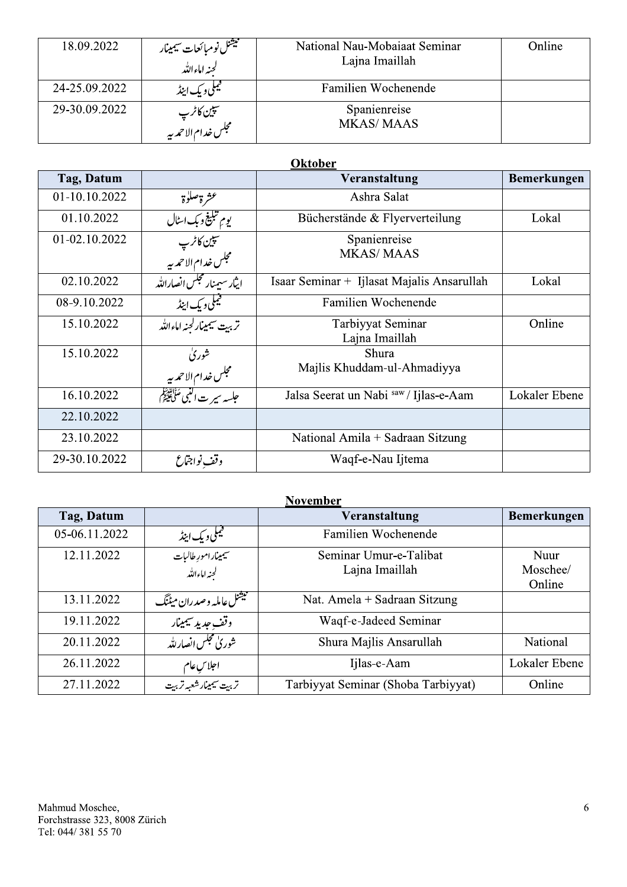| 18.09.2022    |                                                        | National Nau-Mobaiaat Seminar | Online      |
|---------------|--------------------------------------------------------|-------------------------------|-------------|
|               | مسيشنل نومبائ <del>عات سيم</del> ينار<br>لجنه اماءالله | Lajna Imaillah                |             |
| 24-25.09.2022 | فیملی و یک اینڈ<br>مسلمات                              | Familien Wochenende           |             |
| 29-30.09.2022 |                                                        | Spanienreise                  |             |
|               | سپين کاٹر پ<br>مجلس خدام الاحمہ بہ                     | <b>MKAS/MAAS</b>              |             |
|               |                                                        | <b>Oktober</b>                |             |
| Tag, Datum    |                                                        | Veranstaltung                 | Bemerkungen |
| $01-1010202$  | عة موصالية                                             | Ashra Salat                   |             |

#### **Oktober**<br>Veranstaltung WXYZO[XR\]O ) ^UVX\_`RXaR\\_YO bU]UVQ\\_YU\_O عشرة صلوة مستخدمة المستخدمة المستخدمة المستخدمة المستخدمة المستخدمة .<br>تبليغ مسكن السلال المستخدم كما المسال Ashra Salat  $\frac{01.10.2022}{01-02.10.2022}$ يوم تبليغ وبك اسٹال  $\frac{1}{\sqrt{2}}$ erstande  $\&$  Flyerverteilung  $\qquad \qquad$  Lokal <u>سپين کاثر پ</u> مجلس خدام الاحم**ري**ه Spanienreise Spanienreise<br>MKAS/MAAS Isaar Sen | ایثار سیمنار مجلس انصارالله | 02.10.2022 Isaar Seminar + Ijlasat Majalis Ansarullah Lokal قيلي ديك اينڈ (10.2022–08-80 n Wochenende the control of the control of خرة صلوة جي السيال المسلم 2022.0022 16.10.2022<br>11.10.2022 يوم تنظي فريك سلمان 2022.0022 16.10.2022<br>11.10.2022 مجلس خدام الاحمد به جي المسلمان 2022.00202 16.10<br>11.10.2022 16.10.2022 16.10.2022 16.10.2022 16.10.2022 16.10.2 تربي<u>ت سيمينارلجنه اماءالله</u> Tarbiyyat Seminar Lajna Imaillah ar Unline شورى 15.10.2022 بتس خدام الأحم**ر**بير Shura<br>. Shura<br>Majlis Khuddam-ul-Ahmadiyya Jalsa See erat un Nabi <sup>saw</sup> / Ijlas-e-*i* -Aam | Lokaler Ebene |  $\frac{22.10.2022}{2}$ 23.10.2022 | National Amila + Sadraan Sitzung وقف نواجتماع الصحيح 29-30.10.2022 Waqf-e-Nau Ijtema  $\mathbf{m}$ a  $\qquad \qquad \Box$

| Tag, Datum<br>05-06.11.2022 |                                                                        | Veranstaltung<br>Familien Wochenende     | Bemerkungen                |
|-----------------------------|------------------------------------------------------------------------|------------------------------------------|----------------------------|
|                             |                                                                        |                                          |                            |
| 12.11.2022                  | ف <del>یملی و یک اینڈ<br/>سیمی</del> نار امورِ طالبات<br>لجنہ اماءاللہ | Seminar Umur-e-Talibat<br>Lajna Imaillah | Nuur<br>Moschee/<br>Online |
| 13.11.2022                  | میشنل عامله و صدران میٹنگ                                              | Nat. Amela + Sadraan Sitzung             |                            |
| 19.11.2022                  | <u>.<br/>وقف جدید سیمینار</u>                                          | Waqf-e-Jadeed Seminar                    |                            |
| 20.11.2022                  | <u>شوریٰ مجلس انصار لله </u>                                           | Shura Majlis Ansarullah                  | National                   |
| 26.11.2022                  |                                                                        | Ijlas-e-Aam                              | Lokaler Ebene              |
| 27.11.2022                  | اجلاسِعام<br>تربیت سیمینارشعبہ تربیت                                   | Tarbiyyat Seminar (Shoba Tarbiyyat)      | Online                     |

 $\mathbf{I}$